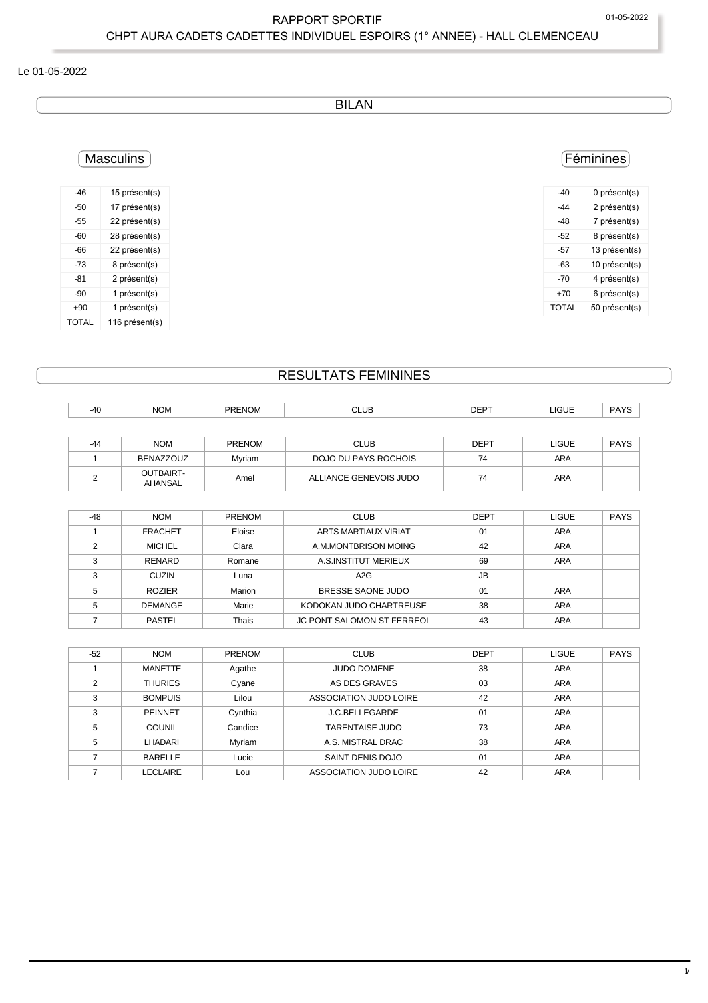### RAPPORT SPORTIF 
01-05-2022 CHPT AURA CADETS CADETTES INDIVIDUEL ESPOIRS (1° ANNEE) - HALL CLEMENCEAU

#### Le 01-05-2022

BILAN

## Féminines

| -40   | 0 présent(s)  |
|-------|---------------|
| -44   | 2 présent(s)  |
| -48   | 7 présent(s)  |
| -52   | 8 présent(s)  |
| -57   | 13 présent(s) |
| -63   | 10 présent(s) |
| -70   | 4 présent(s)  |
| +70   | 6 présent(s)  |
| TOTAL | 50 présent(s) |

# Masculins

| -46   | 15 présent(s)  |
|-------|----------------|
| -50   | 17 présent(s)  |
| -55   | 22 présent(s)  |
| -60   | 28 présent(s)  |
| -66   | 22 présent(s)  |
| -73   | 8 présent(s)   |
| -81   | 2 présent(s)   |
| -90   | 1 présent(s)   |
| $+90$ | 1 présent(s)   |
| TOTAL | 116 présent(s) |

# RESULTATS FEMININES

| $-40$  | <b>NOM</b>                  | <b>PRENOM</b> | <b>CLUB</b>            | <b>DEPT</b> | LIGUE        | <b>PAYS</b> |
|--------|-----------------------------|---------------|------------------------|-------------|--------------|-------------|
|        |                             |               |                        |             |              |             |
| -44    | <b>NOM</b>                  | <b>PRENOM</b> | <b>CLUB</b>            | <b>DEPT</b> | <b>LIGUE</b> | <b>PAYS</b> |
|        | BENAZZOUZ                   | Mvriam        | DOJO DU PAYS ROCHOIS   | 74          | <b>ARA</b>   |             |
| $\sim$ | <b>OUTBAIRT-</b><br>AHANSAL | Amel          | ALLIANCE GENEVOIS JUDO | 74          | <b>ARA</b>   |             |

| $-48$ | <b>NOM</b>     | <b>PRENOM</b> | <b>CLUB</b>                       | <b>DEPT</b> | <b>LIGUE</b> | <b>PAYS</b> |
|-------|----------------|---------------|-----------------------------------|-------------|--------------|-------------|
|       | <b>FRACHET</b> | Eloise        | ARTS MARTIAUX VIRIAT              | 01          | <b>ARA</b>   |             |
|       | <b>MICHEL</b>  | Clara         | A.M.MONTBRISON MOING              | 42          | <b>ARA</b>   |             |
|       | <b>RENARD</b>  | Romane        | A.S.INSTITUT MERIEUX              | 69          | <b>ARA</b>   |             |
| 3     | <b>CUZIN</b>   | Luna          | A2G                               | <b>JB</b>   |              |             |
|       | <b>ROZIER</b>  | Marion        | BRESSE SAONE JUDO                 | 01          | <b>ARA</b>   |             |
|       | <b>DEMANGE</b> | Marie         | KODOKAN JUDO CHARTREUSE           | 38          | ARA          |             |
|       | <b>PASTEL</b>  | Thais         | <b>JC PONT SALOMON ST FERREOL</b> | 43          | ARA          |             |

| $-52$ | <b>NOM</b>     | <b>PRENOM</b> | <b>CLUB</b>            | <b>DEPT</b> | <b>LIGUE</b> | <b>PAYS</b> |
|-------|----------------|---------------|------------------------|-------------|--------------|-------------|
|       | MANETTE        | Agathe        | <b>JUDO DOMENE</b>     | 38          | <b>ARA</b>   |             |
| ◠     | <b>THURIES</b> | Cyane         | AS DES GRAVES          | 03          | ARA          |             |
| 3     | <b>BOMPUIS</b> | Lilou         | ASSOCIATION JUDO LOIRE | 42          | <b>ARA</b>   |             |
| 3     | <b>PEINNET</b> | Cynthia       | J.C.BELLEGARDE         | 01          | <b>ARA</b>   |             |
| 5     | <b>COUNIL</b>  | Candice       | <b>TARENTAISE JUDO</b> | 73          | ARA          |             |
| 5     | LHADARI        | Myriam        | A.S. MISTRAL DRAC      | 38          | <b>ARA</b>   |             |
|       | <b>BARELLE</b> | Lucie         | SAINT DENIS DOJO       | 01          | <b>ARA</b>   |             |
|       | LECLAIRE       | Lou           | ASSOCIATION JUDO LOIRE | 42          | <b>ARA</b>   |             |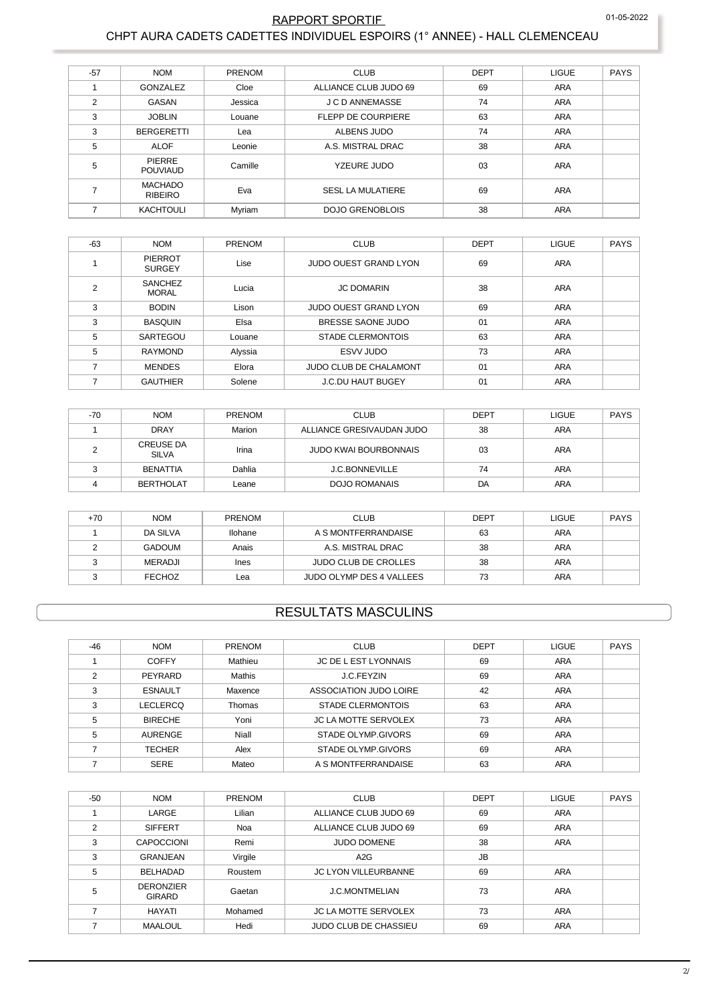#### 01-05-2022

### RAPPORT SPORTIF CHPT AURA CADETS CADETTES INDIVIDUEL ESPOIRS (1° ANNEE) - HALL CLEMENCEAU

| $-57$          | <b>NOM</b>                       | PRENOM  | <b>CLUB</b>               | <b>DEPT</b> | <b>LIGUE</b> | <b>PAYS</b> |
|----------------|----------------------------------|---------|---------------------------|-------------|--------------|-------------|
|                | GONZALEZ                         | Cloe    | ALLIANCE CLUB JUDO 69     | 69          | <b>ARA</b>   |             |
| $\overline{2}$ | GASAN                            | Jessica | J C D ANNEMASSE           | 74          | <b>ARA</b>   |             |
| 3              | <b>JOBLIN</b>                    | Louane  | <b>FLEPP DE COURPIERE</b> | 63          | <b>ARA</b>   |             |
| 3              | <b>BERGERETTI</b>                | Lea     | ALBENS JUDO               | 74          | <b>ARA</b>   |             |
| 5              | <b>ALOF</b>                      | Leonie  | A.S. MISTRAL DRAC         | 38          | ARA          |             |
| 5              | <b>PIERRE</b><br><b>POUVIAUD</b> | Camille | YZEURE JUDO               | 03          | ARA          |             |
|                | <b>MACHADO</b><br><b>RIBEIRO</b> | Eva     | <b>SESL LA MULATIERE</b>  | 69          | ARA          |             |
|                | <b>KACHTOULI</b>                 | Myriam  | <b>DOJO GRENOBLOIS</b>    | 38          | <b>ARA</b>   |             |

| $-63$ | <b>NOM</b>                      | PRENOM  | <b>CLUB</b>                   | <b>DEPT</b> | <b>LIGUE</b> | <b>PAYS</b> |
|-------|---------------------------------|---------|-------------------------------|-------------|--------------|-------------|
|       | <b>PIERROT</b><br><b>SURGEY</b> | Lise    | <b>JUDO OUEST GRAND LYON</b>  | 69          | ARA          |             |
| ◠     | <b>SANCHEZ</b><br><b>MORAL</b>  | Lucia   | <b>JC DOMARIN</b>             | 38          | ARA          |             |
| 3     | <b>BODIN</b>                    | Lison   | <b>JUDO OUEST GRAND LYON</b>  | 69          | <b>ARA</b>   |             |
| 3     | <b>BASQUIN</b>                  | Elsa    | BRESSE SAONE JUDO             | 01          | <b>ARA</b>   |             |
| 5     | SARTEGOU                        | Louane  | <b>STADE CLERMONTOIS</b>      | 63          | ARA          |             |
| 5     | <b>RAYMOND</b>                  | Alyssia | ESVV JUDO                     | 73          | ARA          |             |
|       | <b>MENDES</b>                   | Elora   | <b>JUDO CLUB DE CHALAMONT</b> | 01          | <b>ARA</b>   |             |
|       | <b>GAUTHIER</b>                 | Solene  | <b>J.C.DU HAUT BUGEY</b>      | 01          | <b>ARA</b>   |             |

| -70 | <b>NOM</b>                       | <b>PRENOM</b> | <b>CLUB</b>                  | <b>DEPT</b> | <b>LIGUE</b> | PAYS |
|-----|----------------------------------|---------------|------------------------------|-------------|--------------|------|
|     | <b>DRAY</b>                      | Marion        | ALLIANCE GRESIVAUDAN JUDO    | 38          | <b>ARA</b>   |      |
|     | <b>CREUSE DA</b><br><b>SILVA</b> | Irina         | <b>JUDO KWAI BOURBONNAIS</b> | 03          | <b>ARA</b>   |      |
|     | <b>BENATTIA</b>                  | Dahlia        | <b>J.C.BONNEVILLE</b>        | 74          | <b>ARA</b>   |      |
|     | <b>BERTHOLAT</b>                 | Leane         | <b>DOJO ROMANAIS</b>         | DA          | <b>ARA</b>   |      |

| +70 | <b>NOM</b>    | <b>PRENOM</b> | <b>CLUB</b>                 | DEPT | <b>LIGUE</b> | <b>PAYS</b> |
|-----|---------------|---------------|-----------------------------|------|--------------|-------------|
|     | DA SILVA      | Ilohane       | A S MONTFERRANDAISE         | 63   | <b>ARA</b>   |             |
|     | GADOUM        | Anais         | A.S. MISTRAL DRAC           | 38   | <b>ARA</b>   |             |
|     | MERADJI       | Ines          | <b>JUDO CLUB DE CROLLES</b> | 38   | <b>ARA</b>   |             |
|     | <b>FECHOZ</b> | Lea           | JUDO OLYMP DES 4 VALLEES    | 73   | <b>ARA</b>   |             |

## **RESULTATS MASCULINS**

| $-46$ | <b>NOM</b>     | PRENOM  | <b>CLUB</b>                 | <b>DEPT</b> | <b>LIGUE</b> | <b>PAYS</b> |
|-------|----------------|---------|-----------------------------|-------------|--------------|-------------|
|       | <b>COFFY</b>   | Mathieu | <b>JC DE L EST LYONNAIS</b> | 69          | <b>ARA</b>   |             |
| 2     | PEYRARD        | Mathis  | J.C.FEYZIN                  | 69          | <b>ARA</b>   |             |
| 3     | <b>ESNAULT</b> | Maxence | ASSOCIATION JUDO LOIRE      | 42          | <b>ARA</b>   |             |
| 3     | LECLERCQ       | Thomas  | <b>STADE CLERMONTOIS</b>    | 63          | <b>ARA</b>   |             |
| 5     | <b>BIRECHE</b> | Yoni    | <b>JC LA MOTTE SERVOLEX</b> | 73          | <b>ARA</b>   |             |
| 5     | AURENGE        | Niall   | STADE OLYMP.GIVORS          | 69          | <b>ARA</b>   |             |
|       | <b>TECHER</b>  | Alex    | STADE OLYMP.GIVORS          | 69          | <b>ARA</b>   |             |
|       | <b>SERE</b>    | Mateo   | A S MONTFERRANDAISE         | 63          | <b>ARA</b>   |             |

| $-50$ | <b>NOM</b>                        | PRENOM  | <b>CLUB</b>                  | <b>DEPT</b> | <b>LIGUE</b> | <b>PAYS</b> |
|-------|-----------------------------------|---------|------------------------------|-------------|--------------|-------------|
|       | LARGE                             | Lilian  | ALLIANCE CLUB JUDO 69        | 69          | <b>ARA</b>   |             |
| 2     | <b>SIFFERT</b>                    | Noa     | ALLIANCE CLUB JUDO 69        | 69          | <b>ARA</b>   |             |
| 3     | <b>CAPOCCIONI</b>                 | Remi    | <b>JUDO DOMENE</b>           | 38          | ARA          |             |
| 3     | GRANJEAN                          | Virgile | A2G                          | <b>JB</b>   |              |             |
| 5     | <b>BELHADAD</b>                   | Roustem | <b>JC LYON VILLEURBANNE</b>  | 69          | <b>ARA</b>   |             |
| 5     | <b>DERONZIER</b><br><b>GIRARD</b> | Gaetan  | <b>J.C.MONTMELIAN</b>        | 73          | ARA          |             |
|       | <b>HAYATI</b>                     | Mohamed | <b>JC LA MOTTE SERVOLEX</b>  | 73          | ARA          |             |
|       | <b>MAALOUL</b>                    | Hedi    | <b>JUDO CLUB DE CHASSIEU</b> | 69          | <b>ARA</b>   |             |
|       |                                   |         |                              |             |              |             |